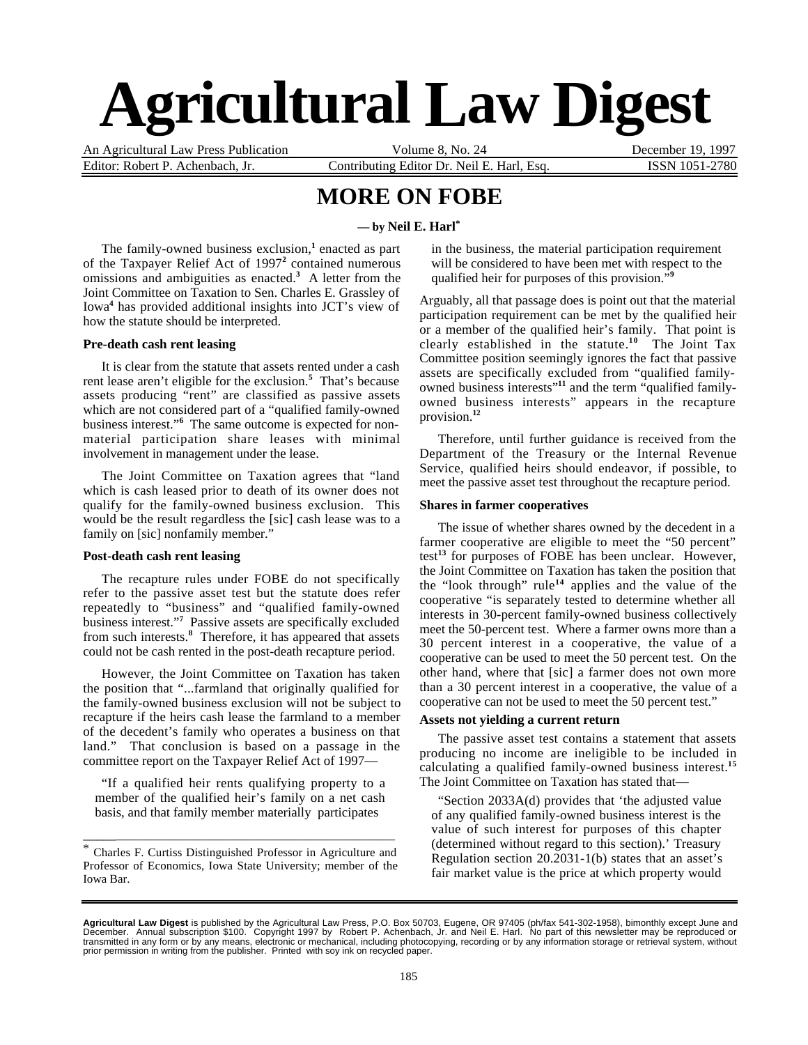# **Agricultural Law Digest**

An Agricultural Law Press Publication Volume 8, No. 24 December 19, 1997 Editor: Robert P. Achenbach, Jr. Contributing Editor Dr. Neil E. Harl, Esq. ISSN 1051-2780

## **MORE ON FOBE**

#### **— by Neil E. Harl\***

The family-owned business exclusion,<sup>1</sup> enacted as part of the Taxpayer Relief Act of 1997**<sup>2</sup>** contained numerous omissions and ambiguities as enacted.**<sup>3</sup>** A letter from the Joint Committee on Taxation to Sen. Charles E. Grassley of Iowa**<sup>4</sup>** has provided additional insights into JCT's view of how the statute should be interpreted.

#### **Pre-death cash rent leasing**

It is clear from the statute that assets rented under a cash rent lease aren't eligible for the exclusion.**<sup>5</sup>** That's because assets producing "rent" are classified as passive assets which are not considered part of a "qualified family-owned business interest."**<sup>6</sup>** The same outcome is expected for nonmaterial participation share leases with minimal involvement in management under the lease.

The Joint Committee on Taxation agrees that "land which is cash leased prior to death of its owner does not qualify for the family-owned business exclusion. This would be the result regardless the [sic] cash lease was to a family on [sic] nonfamily member."

#### **Post-death cash rent leasing**

The recapture rules under FOBE do not specifically refer to the passive asset test but the statute does refer repeatedly to "business" and "qualified family-owned business interest."**<sup>7</sup>** Passive assets are specifically excluded from such interests.**<sup>8</sup>** Therefore, it has appeared that assets could not be cash rented in the post-death recapture period.

However, the Joint Committee on Taxation has taken the position that "...farmland that originally qualified for the family-owned business exclusion will not be subject to recapture if the heirs cash lease the farmland to a member of the decedent's family who operates a business on that land." That conclusion is based on a passage in the committee report on the Taxpayer Relief Act of 1997—

"If a qualified heir rents qualifying property to a member of the qualified heir's family on a net cash basis, and that family member materially participates

\* Charles F. Curtiss Distinguished Professor in Agriculture and Professor of Economics, Iowa State University; member of the Iowa Bar.

\_\_\_\_\_\_\_\_\_\_\_\_\_\_\_\_\_\_\_\_\_\_\_\_\_\_\_\_\_\_\_\_\_\_\_\_\_\_\_\_\_\_\_\_\_\_\_\_\_\_\_\_

in the business, the material participation requirement will be considered to have been met with respect to the qualified heir for purposes of this provision."**<sup>9</sup>**

Arguably, all that passage does is point out that the material participation requirement can be met by the qualified heir or a member of the qualified heir's family. That point is clearly established in the statute.**<sup>10</sup>** The Joint Tax Committee position seemingly ignores the fact that passive assets are specifically excluded from "qualified familyowned business interests"<sup>11</sup> and the term "qualified familyowned business interests" appears in the recapture provision.**<sup>12</sup>**

Therefore, until further guidance is received from the Department of the Treasury or the Internal Revenue Service, qualified heirs should endeavor, if possible, to meet the passive asset test throughout the recapture period.

#### **Shares in farmer cooperatives**

The issue of whether shares owned by the decedent in a farmer cooperative are eligible to meet the "50 percent" test**<sup>13</sup>** for purposes of FOBE has been unclear. However, the Joint Committee on Taxation has taken the position that the "look through" rule**<sup>14</sup>** applies and the value of the cooperative "is separately tested to determine whether all interests in 30-percent family-owned business collectively meet the 50-percent test. Where a farmer owns more than a 30 percent interest in a cooperative, the value of a cooperative can be used to meet the 50 percent test. On the other hand, where that [sic] a farmer does not own more than a 30 percent interest in a cooperative, the value of a cooperative can not be used to meet the 50 percent test."

#### **Assets not yielding a current return**

The passive asset test contains a statement that assets producing no income are ineligible to be included in calculating a qualified family-owned business interest.**<sup>15</sup>** The Joint Committee on Taxation has stated that—

"Section 2033A(d) provides that 'the adjusted value of any qualified family-owned business interest is the value of such interest for purposes of this chapter (determined without regard to this section).' Treasury Regulation section 20.2031-1(b) states that an asset's fair market value is the price at which property would

**Agricultural Law Digest** is published by the Agricultural Law Press, P.O. Box 50703, Eugene, OR 97405 (ph/fax 541-302-1958), bimonthly except June and<br>December. Annual subscription \$100. Copyright 1997 by Robert P. Achenb transmitted in any form or by any means, electronic or mechanical, including photocopying, recording or by any information storage or retrieval system, without<br>prior permission in writing from the publisher. Printed with